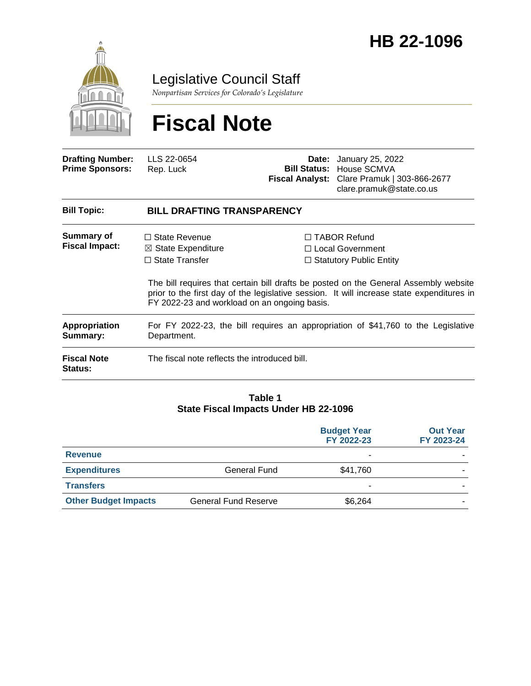

Legislative Council Staff

*Nonpartisan Services for Colorado's Legislature*

# **Fiscal Note**

| <b>Drafting Number:</b><br><b>Prime Sponsors:</b> | LLS 22-0654<br>Rep. Luck                                                                                                       | Date: | January 25, 2022<br><b>Bill Status: House SCMVA</b><br>Fiscal Analyst: Clare Pramuk   303-866-2677<br>clare.pramuk@state.co.us                                                                                                                                   |  |
|---------------------------------------------------|--------------------------------------------------------------------------------------------------------------------------------|-------|------------------------------------------------------------------------------------------------------------------------------------------------------------------------------------------------------------------------------------------------------------------|--|
| <b>Bill Topic:</b>                                | <b>BILL DRAFTING TRANSPARENCY</b>                                                                                              |       |                                                                                                                                                                                                                                                                  |  |
| Summary of<br><b>Fiscal Impact:</b>               | $\Box$ State Revenue<br>$\boxtimes$ State Expenditure<br>$\Box$ State Transfer<br>FY 2022-23 and workload on an ongoing basis. |       | $\Box$ TABOR Refund<br>□ Local Government<br>$\Box$ Statutory Public Entity<br>The bill requires that certain bill drafts be posted on the General Assembly website<br>prior to the first day of the legislative session. It will increase state expenditures in |  |
| <b>Appropriation</b><br>Summary:                  | For FY 2022-23, the bill requires an appropriation of \$41,760 to the Legislative<br>Department.                               |       |                                                                                                                                                                                                                                                                  |  |
| <b>Fiscal Note</b><br>Status:                     | The fiscal note reflects the introduced bill.                                                                                  |       |                                                                                                                                                                                                                                                                  |  |

#### **Table 1 State Fiscal Impacts Under HB 22-1096**

|                             |                             | <b>Budget Year</b><br>FY 2022-23 | <b>Out Year</b><br>FY 2023-24 |
|-----------------------------|-----------------------------|----------------------------------|-------------------------------|
| <b>Revenue</b>              |                             | ٠                                |                               |
| <b>Expenditures</b>         | General Fund                | \$41,760                         |                               |
| <b>Transfers</b>            |                             | ٠                                |                               |
| <b>Other Budget Impacts</b> | <b>General Fund Reserve</b> | \$6,264                          |                               |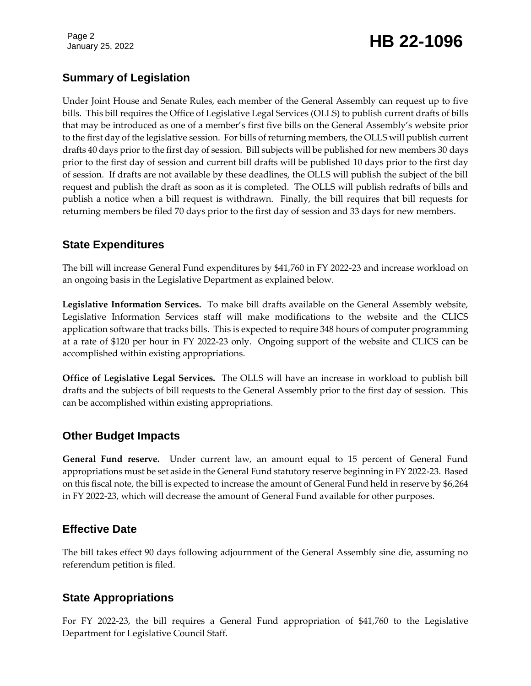Page 2

## January 25, 2022 **HB 22-1096**

### **Summary of Legislation**

Under Joint House and Senate Rules, each member of the General Assembly can request up to five bills. This bill requires the Office of Legislative Legal Services (OLLS) to publish current drafts of bills that may be introduced as one of a member's first five bills on the General Assembly's website prior to the first day of the legislative session. For bills of returning members, the OLLS will publish current drafts 40 days prior to the first day of session. Bill subjects will be published for new members 30 days prior to the first day of session and current bill drafts will be published 10 days prior to the first day of session. If drafts are not available by these deadlines, the OLLS will publish the subject of the bill request and publish the draft as soon as it is completed. The OLLS will publish redrafts of bills and publish a notice when a bill request is withdrawn. Finally, the bill requires that bill requests for returning members be filed 70 days prior to the first day of session and 33 days for new members.

#### **State Expenditures**

The bill will increase General Fund expenditures by \$41,760 in FY 2022-23 and increase workload on an ongoing basis in the Legislative Department as explained below.

**Legislative Information Services.** To make bill drafts available on the General Assembly website, Legislative Information Services staff will make modifications to the website and the CLICS application software that tracks bills. This is expected to require 348 hours of computer programming at a rate of \$120 per hour in FY 2022-23 only. Ongoing support of the website and CLICS can be accomplished within existing appropriations.

**Office of Legislative Legal Services.** The OLLS will have an increase in workload to publish bill drafts and the subjects of bill requests to the General Assembly prior to the first day of session. This can be accomplished within existing appropriations.

#### **Other Budget Impacts**

**General Fund reserve.** Under current law, an amount equal to 15 percent of General Fund appropriations must be set aside in the General Fund statutory reserve beginning in FY 2022-23. Based on this fiscal note, the bill is expected to increase the amount of General Fund held in reserve by \$6,264 in FY 2022-23, which will decrease the amount of General Fund available for other purposes.

### **Effective Date**

The bill takes effect 90 days following adjournment of the General Assembly sine die, assuming no referendum petition is filed.

### **State Appropriations**

For FY 2022-23, the bill requires a General Fund appropriation of \$41,760 to the Legislative Department for Legislative Council Staff.